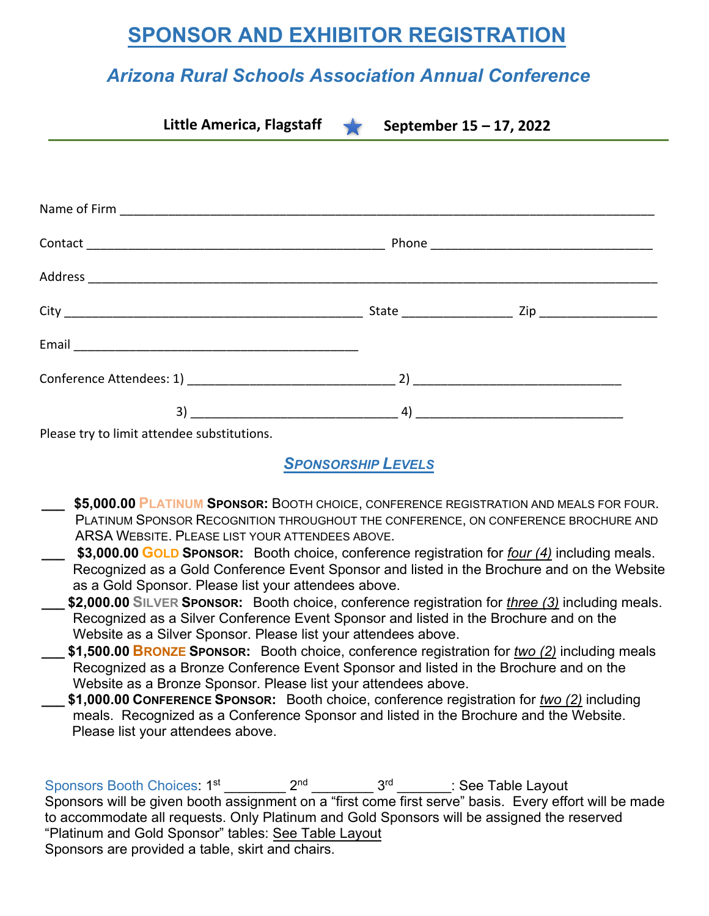## **SPONSOR AND EXHIBITOR REGISTRATION**

## *Arizona Rural Schools Association Annual Conference*

| Little America, Flagstaff September $15 - 17$ , 2022 |  |  |
|------------------------------------------------------|--|--|
|                                                      |  |  |
|                                                      |  |  |
|                                                      |  |  |
|                                                      |  |  |
|                                                      |  |  |
|                                                      |  |  |
|                                                      |  |  |
|                                                      |  |  |
|                                                      |  |  |
| $D$ $0.0000$ truto limit attended cubetitutions      |  |  |

Please try to limit attendee substitutions.

*SPONSORSHIP LEVELS*

- **\_\_\_ \$5,000.00 PLATINUM SPONSOR:** BOOTH CHOICE, CONFERENCE REGISTRATION AND MEALS FOR FOUR. PLATINUM SPONSOR RECOGNITION THROUGHOUT THE CONFERENCE, ON CONFERENCE BROCHURE AND ARSA WEBSITE. PLEASE LIST YOUR ATTENDEES ABOVE.
- **\_\_\_ \$3,000.00 GOLD SPONSOR:** Booth choice, conference registration for *four (4)* including meals. Recognized as a Gold Conference Event Sponsor and listed in the Brochure and on the Website as a Gold Sponsor. Please list your attendees above.
- **\_\_\_ \$2,000.00 SILVER SPONSOR:** Booth choice, conference registration for *three (3)* including meals. Recognized as a Silver Conference Event Sponsor and listed in the Brochure and on the Website as a Silver Sponsor. Please list your attendees above.
- **\_\_\_ \$1,500.00 BRONZE SPONSOR:** Booth choice, conference registration for *two (2)* including meals Recognized as a Bronze Conference Event Sponsor and listed in the Brochure and on the Website as a Bronze Sponsor. Please list your attendees above.
- **\_\_\_ \$1,000.00 CONFERENCE SPONSOR:** Booth choice, conference registration for *two (2)* including meals. Recognized as a Conference Sponsor and listed in the Brochure and the Website. Please list your attendees above.

Sponsors Booth Choices:  $1^{st}$  2<sup>nd</sup>  $3^{rd}$  3<sup>rd</sup> : See Table Layout Sponsors will be given booth assignment on a "first come first serve" basis. Every effort will be made to accommodate all requests. Only Platinum and Gold Sponsors will be assigned the reserved "Platinum and Gold Sponsor" tables: See Table Layout Sponsors are provided a table, skirt and chairs.